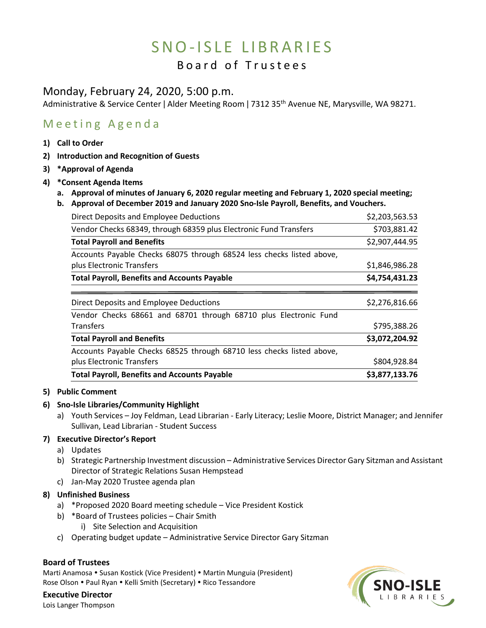# SNO-ISLE LIBRARIES

# Board of Trustees

# Monday, February 24, 2020, 5:00 p.m.

Administrative & Service Center | Alder Meeting Room | 7312 35<sup>th</sup> Avenue NE, Marysville, WA 98271.

# Meeting Agenda

- **1) Call to Order**
- **2) Introduction and Recognition of Guests**
- **3) \*Approval of Agenda**
- **4) \*Consent Agenda Items**
	- **a. Approval of minutes of January 6, 2020 regular meeting and February 1, 2020 special meeting;**
	- **b. Approval of December 2019 and January 2020 Sno-Isle Payroll, Benefits, and Vouchers.**

| Direct Deposits and Employee Deductions                               | \$2,203,563.53 |
|-----------------------------------------------------------------------|----------------|
| Vendor Checks 68349, through 68359 plus Electronic Fund Transfers     | \$703,881.42   |
| <b>Total Payroll and Benefits</b>                                     | \$2,907,444.95 |
| Accounts Payable Checks 68075 through 68524 less checks listed above, |                |
| plus Electronic Transfers                                             | \$1,846,986.28 |
| <b>Total Payroll, Benefits and Accounts Payable</b>                   | \$4,754,431.23 |
| Direct Deposits and Employee Deductions                               | \$2,276,816.66 |
| Vendor Checks 68661 and 68701 through 68710 plus Electronic Fund      |                |
| <b>Transfers</b>                                                      | \$795,388.26   |
| <b>Total Payroll and Benefits</b>                                     | \$3,072,204.92 |
| Accounts Payable Checks 68525 through 68710 less checks listed above, |                |
| plus Electronic Transfers                                             | \$804,928.84   |
| <b>Total Payroll, Benefits and Accounts Payable</b>                   | \$3,877,133.76 |

### **5) Public Comment**

#### **6) Sno-Isle Libraries/Community Highlight**

a) Youth Services – Joy Feldman, Lead Librarian - Early Literacy; Leslie Moore, District Manager; and Jennifer Sullivan, Lead Librarian - Student Success

## **7) Executive Director's Report**

- a) Updates
- b) Strategic Partnership Investment discussion Administrative Services Director Gary Sitzman and Assistant Director of Strategic Relations Susan Hempstead
- c) Jan-May 2020 Trustee agenda plan

## **8) Unfinished Business**

- a) \*Proposed 2020 Board meeting schedule Vice President Kostick
- b) \*Board of Trustees policies Chair Smith
	- i) Site Selection and Acquisition
- c) Operating budget update Administrative Service Director Gary Sitzman

#### **Board of Trustees**

Marti Anamosa • Susan Kostick (Vice President) • Martin Munguia (President) Rose Olson . Paul Ryan . Kelli Smith (Secretary) . Rico Tessandore

 $SNO-ISLE$ 

**Executive Director** Lois Langer Thompson